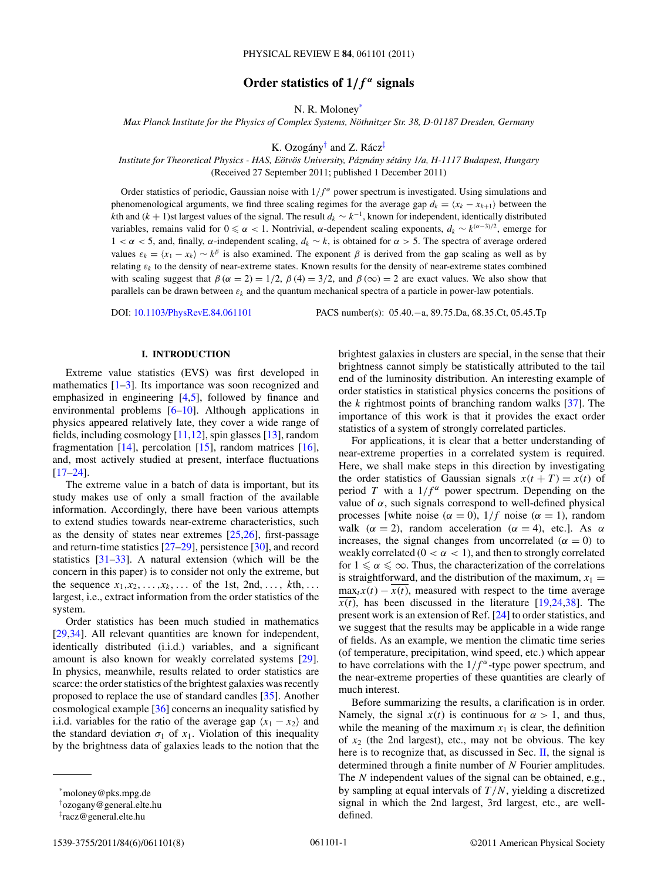# Order statistics of  $1/f^{\alpha}$  signals

N. R. Moloney\*

*Max Planck Institute for the Physics of Complex Systems, Nothnitzer Str. 38, D-01187 Dresden, Germany ¨*

K. Ozogány<sup>†</sup> and Z. Rácz<sup>‡</sup>

*Institute for Theoretical Physics - HAS, Eotv ¨ os University, P ¨ azm´ any s ´ et´ any 1/a, H-1117 Budapest, Hungary ´* (Received 27 September 2011; published 1 December 2011)

Order statistics of periodic, Gaussian noise with  $1/f^α$  power spectrum is investigated. Using simulations and phenomenological arguments, we find three scaling regimes for the average gap  $d_k = \langle x_k - x_{k+1} \rangle$  between the *k*th and (*k* + 1)st largest values of the signal. The result  $d_k \sim k^{-1}$ , known for independent, identically distributed variables, remains valid for 0 ≤ α < 1. Nontrivial, α-dependent scaling exponents,  $d_k \sim k^{(α-3)/2}$ , emerge for 1 *<α<* 5, and, finally, *α*-independent scaling, *dk* ∼ *k*, is obtained for *α >* 5. The spectra of average ordered values  $\varepsilon_k = \langle x_1 - x_k \rangle \sim k^{\beta}$  is also examined. The exponent  $\beta$  is derived from the gap scaling as well as by relating *εk* to the density of near-extreme states. Known results for the density of near-extreme states combined with scaling suggest that  $\beta (\alpha = 2) = 1/2$ ,  $\beta (4) = 3/2$ , and  $\beta (\infty) = 2$  are exact values. We also show that parallels can be drawn between *εk* and the quantum mechanical spectra of a particle in power-law potentials.

DOI: [10.1103/PhysRevE.84.061101](http://dx.doi.org/10.1103/PhysRevE.84.061101) PACS number(s): 05*.*40*.*−a, 89*.*75*.*Da, 68*.*35*.*Ct, 05*.*45*.*Tp

### **I. INTRODUCTION**

Extreme value statistics (EVS) was first developed in mathematics  $[1-3]$  $[1-3]$ . Its importance was soon recognized and emphasized in engineering [\[4,5\]](#page-7-0), followed by finance and environmental problems [\[6–10\]](#page-7-0). Although applications in physics appeared relatively late, they cover a wide range of fields, including cosmology  $[11,12]$ , spin glasses  $[13]$ , random fragmentation [\[14\]](#page-7-0), percolation [\[15\]](#page-7-0), random matrices [\[16\]](#page-7-0), and, most actively studied at present, interface fluctuations [\[17–24\]](#page-7-0).

The extreme value in a batch of data is important, but its study makes use of only a small fraction of the available information. Accordingly, there have been various attempts to extend studies towards near-extreme characteristics, such as the density of states near extremes [\[25,26\]](#page-7-0), first-passage and return-time statistics [\[27–29\]](#page-7-0), persistence [\[30\]](#page-7-0), and record statistics  $[31-33]$ . A natural extension (which will be the concern in this paper) is to consider not only the extreme, but the sequence  $x_1, x_2, ..., x_k, ...$  of the 1st, 2nd, ..., kth, ... largest, i.e., extract information from the order statistics of the system.

Order statistics has been much studied in mathematics [\[29,34\]](#page-7-0). All relevant quantities are known for independent, identically distributed (i.i.d.) variables, and a significant amount is also known for weakly correlated systems [\[29\]](#page-7-0). In physics, meanwhile, results related to order statistics are scarce: the order statistics of the brightest galaxies was recently proposed to replace the use of standard candles [\[35\]](#page-7-0). Another cosmological example [\[36\]](#page-7-0) concerns an inequality satisfied by i.i.d. variables for the ratio of the average gap  $\langle x_1 - x_2 \rangle$  and the standard deviation  $\sigma_1$  of  $x_1$ . Violation of this inequality by the brightness data of galaxies leads to the notion that the

brightest galaxies in clusters are special, in the sense that their brightness cannot simply be statistically attributed to the tail end of the luminosity distribution. An interesting example of order statistics in statistical physics concerns the positions of the *k* rightmost points of branching random walks [\[37\]](#page-7-0). The importance of this work is that it provides the exact order statistics of a system of strongly correlated particles.

For applications, it is clear that a better understanding of near-extreme properties in a correlated system is required. Here, we shall make steps in this direction by investigating the order statistics of Gaussian signals  $x(t + T) = x(t)$  of period *T* with a  $1/f^{\alpha}$  power spectrum. Depending on the value of *α*, such signals correspond to well-defined physical processes [white noise ( $\alpha = 0$ ),  $1/f$  noise ( $\alpha = 1$ ), random walk ( $\alpha = 2$ ), random acceleration ( $\alpha = 4$ ), etc.]. As  $\alpha$ increases, the signal changes from uncorrelated  $(\alpha = 0)$  to weakly correlated  $(0 < \alpha < 1)$ , and then to strongly correlated for  $1 \le \alpha \le \infty$ . Thus, the characterization of the correlations is straightforward, and the distribution of the maximum,  $x_1 =$  $max_t x(t) - x(t)$ , measured with respect to the time average  $\overline{x(t)}$ , has been discussed in the literature [\[19,24,38\]](#page-7-0). The present work is an extension of Ref. [\[24\]](#page-7-0) to order statistics, and we suggest that the results may be applicable in a wide range of fields. As an example, we mention the climatic time series (of temperature, precipitation, wind speed, etc.) which appear to have correlations with the  $1/f^{\alpha}$ -type power spectrum, and the near-extreme properties of these quantities are clearly of much interest.

Before summarizing the results, a clarification is in order. Namely, the signal  $x(t)$  is continuous for  $\alpha > 1$ , and thus, while the meaning of the maximum  $x_1$  is clear, the definition of *x*<sup>2</sup> (the 2nd largest), etc., may not be obvious. The key here is to recognize that, as discussed in Sec. [II,](#page-1-0) the signal is determined through a finite number of *N* Fourier amplitudes. The *N* independent values of the signal can be obtained, e.g., by sampling at equal intervals of *T /N*, yielding a discretized signal in which the 2nd largest, 3rd largest, etc., are welldefined.

<sup>\*</sup>moloney@pks.mpg.de

<sup>†</sup> ozogany@general.elte.hu

<sup>‡</sup> racz@general.elte.hu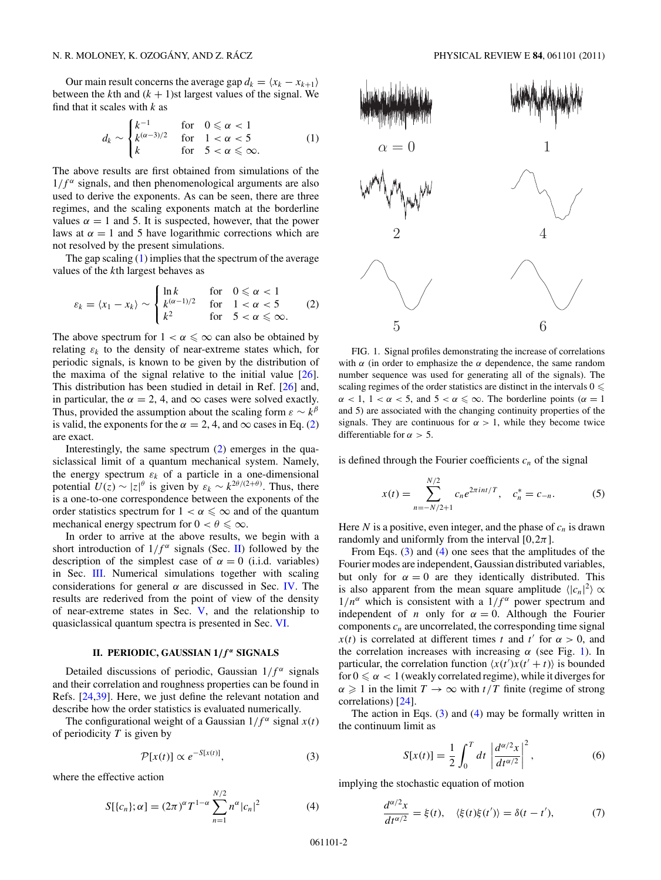<span id="page-1-0"></span>Our main result concerns the average gap  $d_k = \langle x_k - x_{k+1} \rangle$ between the  $k$ th and  $(k + 1)$ st largest values of the signal. We find that it scales with *k* as

$$
d_k \sim \begin{cases} k^{-1} & \text{for} \quad 0 \leq \alpha < 1\\ k^{(\alpha-3)/2} & \text{for} \quad 1 < \alpha < 5\\ k & \text{for} \quad 5 < \alpha \leq \infty. \end{cases} \tag{1}
$$

The above results are first obtained from simulations of the  $1/f^{\alpha}$  signals, and then phenomenological arguments are also used to derive the exponents. As can be seen, there are three regimes, and the scaling exponents match at the borderline values  $\alpha = 1$  and 5. It is suspected, however, that the power laws at  $\alpha = 1$  and 5 have logarithmic corrections which are not resolved by the present simulations.

The gap scaling  $(1)$  implies that the spectrum of the average values of the *k*th largest behaves as

$$
\varepsilon_k = \langle x_1 - x_k \rangle \sim \begin{cases} \ln k & \text{for} \quad 0 \leq \alpha < 1 \\ k^{(\alpha - 1)/2} & \text{for} \quad 1 < \alpha < 5 \\ k^2 & \text{for} \quad 5 < \alpha \leq \infty. \end{cases} \tag{2}
$$

The above spectrum for  $1 < \alpha \leq \infty$  can also be obtained by relating  $\varepsilon_k$  to the density of near-extreme states which, for periodic signals, is known to be given by the distribution of the maxima of the signal relative to the initial value  $[26]$ . This distribution has been studied in detail in Ref. [\[26\]](#page-7-0) and, in particular, the  $\alpha = 2, 4$ , and  $\infty$  cases were solved exactly. Thus, provided the assumption about the scaling form  $\varepsilon \sim k^{\beta}$ is valid, the exponents for the  $\alpha = 2, 4$ , and  $\infty$  cases in Eq. (2) are exact.

Interestingly, the same spectrum (2) emerges in the quasiclassical limit of a quantum mechanical system. Namely, the energy spectrum  $\varepsilon_k$  of a particle in a one-dimensional potential  $U(z) \sim |z|^\theta$  is given by  $\varepsilon_k \sim k^{2\theta/(2+\theta)}$ . Thus, there is a one-to-one correspondence between the exponents of the order statistics spectrum for  $1 < \alpha \leq \infty$  and of the quantum mechanical energy spectrum for  $0 < \theta \leq \infty$ .

In order to arrive at the above results, we begin with a short introduction of  $1/f^{\alpha}$  signals (Sec. II) followed by the description of the simplest case of  $\alpha = 0$  (i.i.d. variables) in Sec. [III.](#page-2-0) Numerical simulations together with scaling considerations for general  $\alpha$  are discussed in Sec. [IV.](#page-2-0) The results are rederived from the point of view of the density of near-extreme states in Sec. [V,](#page-5-0) and the relationship to quasiclassical quantum spectra is presented in Sec. [VI.](#page-6-0)

## **II. PERIODIC, GAUSSIAN 1***/ f <sup>α</sup>* **SIGNALS**

Detailed discussions of periodic, Gaussian  $1/f^{\alpha}$  signals and their correlation and roughness properties can be found in Refs. [\[24,39\]](#page-7-0). Here, we just define the relevant notation and describe how the order statistics is evaluated numerically.

The configurational weight of a Gaussian  $1/f^{\alpha}$  signal  $x(t)$ of periodicity *T* is given by

$$
\mathcal{P}[x(t)] \propto e^{-S[x(t)]},\tag{3}
$$

where the effective action

$$
S[{c_n}; \alpha] = (2\pi)^{\alpha} T^{1-\alpha} \sum_{n=1}^{N/2} n^{\alpha} |c_n|^2
$$
 (4)



FIG. 1. Signal profiles demonstrating the increase of correlations with  $\alpha$  (in order to emphasize the  $\alpha$  dependence, the same random number sequence was used for generating all of the signals). The scaling regimes of the order statistics are distinct in the intervals  $0 \leqslant$  $\alpha$  < 1, 1 <  $\alpha$  < 5, and 5 <  $\alpha \leq \infty$ . The borderline points ( $\alpha = 1$ ) and 5) are associated with the changing continuity properties of the signals. They are continuous for  $\alpha > 1$ , while they become twice differentiable for  $\alpha > 5$ .

is defined through the Fourier coefficients  $c_n$  of the signal

$$
x(t) = \sum_{n=-N/2+1}^{N/2} c_n e^{2\pi i nt/T}, \quad c_n^* = c_{-n}.
$$
 (5)

Here *N* is a positive, even integer, and the phase of  $c_n$  is drawn randomly and uniformly from the interval  $[0,2\pi]$ .

From Eqs. (3) and (4) one sees that the amplitudes of the Fourier modes are independent, Gaussian distributed variables, but only for  $\alpha = 0$  are they identically distributed. This is also apparent from the mean square amplitude  $\langle |c_n|^2 \rangle \propto$  $1/n^{\alpha}$  which is consistent with a  $1/f^{\alpha}$  power spectrum and independent of *n* only for  $\alpha = 0$ . Although the Fourier components  $c_n$  are uncorrelated, the corresponding time signal *x*(*t*) is correlated at different times *t* and *t'* for  $\alpha > 0$ , and the correlation increases with increasing  $\alpha$  (see Fig. 1). In particular, the correlation function  $\langle x(t')x(t'+t) \rangle$  is bounded for  $0 \le \alpha < 1$  (weakly correlated regime), while it diverges for  $\alpha \geq 1$  in the limit  $T \to \infty$  with  $t/T$  finite (regime of strong correlations) [\[24\]](#page-7-0).

The action in Eqs.  $(3)$  and  $(4)$  may be formally written in the continuum limit as

$$
S[x(t)] = \frac{1}{2} \int_0^T dt \left| \frac{d^{\alpha/2}x}{dt^{\alpha/2}} \right|^2,
$$
 (6)

implying the stochastic equation of motion

$$
\frac{d^{\alpha/2}x}{dt^{\alpha/2}} = \xi(t), \quad \langle \xi(t)\xi(t')\rangle = \delta(t-t'), \tag{7}
$$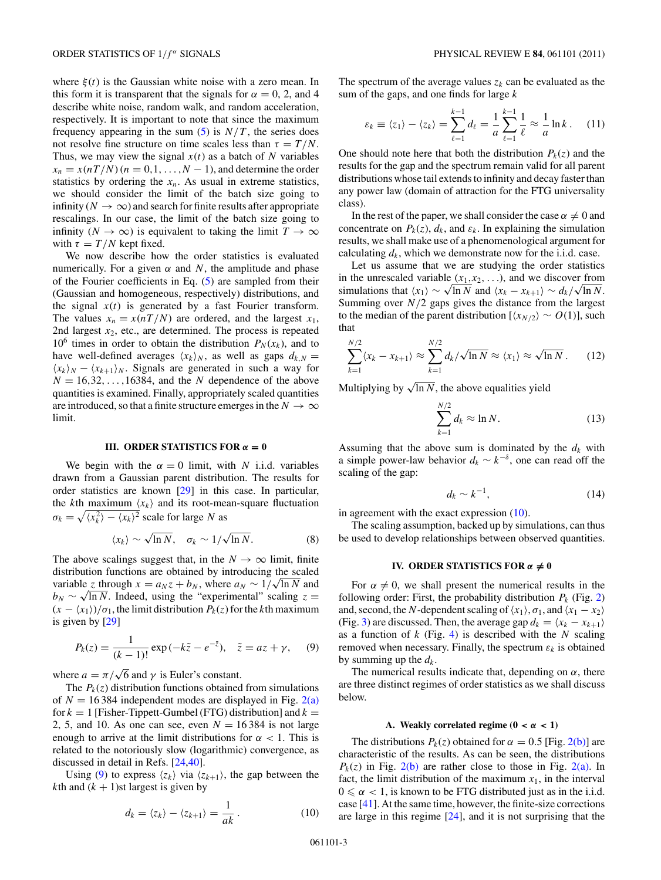<span id="page-2-0"></span>where  $\xi(t)$  is the Gaussian white noise with a zero mean. In this form it is transparent that the signals for  $\alpha = 0, 2$ , and 4 describe white noise, random walk, and random acceleration, respectively. It is important to note that since the maximum frequency appearing in the sum  $(5)$  is  $N/T$ , the series does not resolve fine structure on time scales less than  $\tau = T/N$ . Thus, we may view the signal  $x(t)$  as a batch of N variables  $x_n = x(nT/N)(n = 0, 1, \ldots, N - 1)$ , and determine the order statistics by ordering the  $x_n$ . As usual in extreme statistics, we should consider the limit of the batch size going to infinity ( $N \to \infty$ ) and search for finite results after appropriate rescalings. In our case, the limit of the batch size going to infinity ( $N \to \infty$ ) is equivalent to taking the limit  $T \to \infty$ with  $\tau = T/N$  kept fixed.

We now describe how the order statistics is evaluated numerically. For a given  $\alpha$  and N, the amplitude and phase of the Fourier coefficients in Eq. [\(5\)](#page-1-0) are sampled from their (Gaussian and homogeneous, respectively) distributions, and the signal  $x(t)$  is generated by a fast Fourier transform. The values  $x_n = x(nT/N)$  are ordered, and the largest  $x_1$ , 2nd largest  $x_2$ , etc., are determined. The process is repeated 10<sup>6</sup> times in order to obtain the distribution  $P_N(x_k)$ , and to have well-defined averages  $\langle x_k \rangle_N$ , as well as gaps  $d_{k,N} =$  $\langle x_k \rangle_N - \langle x_{k+1} \rangle_N$ . Signals are generated in such a way for  $N = 16,32,\ldots,16384$ , and the *N* dependence of the above quantities is examined. Finally, appropriately scaled quantities are introduced, so that a finite structure emerges in the  $N \to \infty$ limit.

#### **III. ORDER STATISTICS FOR**  $\alpha = 0$

We begin with the  $\alpha = 0$  limit, with *N* i.i.d. variables drawn from a Gaussian parent distribution. The results for order statistics are known [\[29\]](#page-7-0) in this case. In particular, the *k*th maximum  $\langle x_k \rangle$  and its root-mean-square fluctuation  $\sigma_k = \sqrt{\langle x_k^2 \rangle - \langle x_k \rangle^2}$  scale for large *N* as

$$
\langle x_k \rangle \sim \sqrt{\ln N}, \quad \sigma_k \sim 1/\sqrt{\ln N}.
$$
 (8)

The above scalings suggest that, in the  $N \to \infty$  limit, finite distribution functions are obtained by introducing the scaled distribution functions are obtained by introducing the scaled variable *z* through  $x = a_N z + b_N$ , where  $a_N \sim 1/\sqrt{\ln N}$  and  $b_N \sim \sqrt{\ln N}$ . Indeed, using the "experimental" scaling  $z =$  $(x - \langle x_1 \rangle)/\sigma_1$ , the limit distribution  $P_k(z)$  for the *k*th maximum is given by [\[29\]](#page-7-0)

$$
P_k(z) = \frac{1}{(k-1)!} \exp(-k\tilde{z} - e^{-\tilde{z}}), \quad \tilde{z} = az + \gamma, \quad (9)
$$

where  $a = \pi/\sqrt{6}$  and  $\gamma$  is Euler's constant.

The  $P_k(z)$  distribution functions obtained from simulations of  $N = 16384$  independent modes are displayed in Fig. [2\(a\)](#page-3-0) for  $k = 1$  [Fisher-Tippett-Gumbel (FTG) distribution] and  $k =$ 2, 5, and 10. As one can see, even  $N = 16384$  is not large enough to arrive at the limit distributions for  $\alpha < 1$ . This is related to the notoriously slow (logarithmic) convergence, as discussed in detail in Refs. [\[24,40\]](#page-7-0).

Using (9) to express  $\langle z_k \rangle$  via  $\langle z_{k+1} \rangle$ , the gap between the *k*th and  $(k + 1)$ st largest is given by

The spectrum of the average values  $z_k$  can be evaluated as the sum of the gaps, and one finds for large *k*

$$
\varepsilon_k \equiv \langle z_1 \rangle - \langle z_k \rangle = \sum_{\ell=1}^{k-1} d_\ell = \frac{1}{a} \sum_{\ell=1}^{k-1} \frac{1}{\ell} \approx \frac{1}{a} \ln k \,. \tag{11}
$$

One should note here that both the distribution  $P_k(z)$  and the results for the gap and the spectrum remain valid for all parent distributions whose tail extends to infinity and decay faster than any power law (domain of attraction for the FTG universality class).

In the rest of the paper, we shall consider the case  $\alpha \neq 0$  and concentrate on  $P_k(z)$ ,  $d_k$ , and  $\varepsilon_k$ . In explaining the simulation results, we shall make use of a phenomenological argument for calculating  $d_k$ , which we demonstrate now for the i.i.d. case.

Let us assume that we are studying the order statistics in the unrescaled variable  $(x_1, x_2, \ldots)$ , and we discover from in the unrescaled variable  $(x_1, x_2, \ldots)$ , and we discover from<br>simulations that  $\langle x_1 \rangle \sim \sqrt{\ln N}$  and  $\langle x_k - x_{k+1} \rangle \sim d_k/\sqrt{\ln N}$ . Summing over *N/*2 gaps gives the distance from the largest to the median of the parent distribution  $[\langle x_{N/2} \rangle \sim O(1)]$ , such that

$$
\sum_{k=1}^{N/2} \langle x_k - x_{k+1} \rangle \approx \sum_{k=1}^{N/2} d_k / \sqrt{\ln N} \approx \langle x_1 \rangle \approx \sqrt{\ln N} \,.
$$
 (12)

Multiplying by  $\sqrt{\ln N}$ , the above equalities yield

$$
\sum_{k=1}^{N/2} d_k \approx \ln N. \tag{13}
$$

Assuming that the above sum is dominated by the  $d_k$  with a simple power-law behavior  $d_k \sim k^{-\delta}$ , one can read off the scaling of the gap:

$$
d_k \sim k^{-1},\tag{14}
$$

in agreement with the exact expression (10).

The scaling assumption, backed up by simulations, can thus be used to develop relationships between observed quantities.

## **IV.** ORDER STATISTICS FOR  $\alpha \neq 0$

For  $\alpha \neq 0$ , we shall present the numerical results in the following order: First, the probability distribution  $P_k$  (Fig. [2\)](#page-3-0) and, second, the *N*-dependent scaling of  $\langle x_1 \rangle$ ,  $\sigma_1$ , and  $\langle x_1 - x_2 \rangle$ (Fig. [3\)](#page-4-0) are discussed. Then, the average gap  $d_k = \langle x_k - x_{k+1} \rangle$ as a function of *k* (Fig. [4\)](#page-4-0) is described with the *N* scaling removed when necessary. Finally, the spectrum  $\varepsilon_k$  is obtained by summing up the  $d_k$ .

The numerical results indicate that, depending on  $\alpha$ , there are three distinct regimes of order statistics as we shall discuss below.

### A. Weakly correlated regime  $(0 < \alpha < 1)$

The distributions  $P_k(z)$  obtained for  $\alpha = 0.5$  [Fig. [2\(b\)\]](#page-3-0) are characteristic of the results. As can be seen, the distributions  $P_k(z)$  in Fig. [2\(b\)](#page-3-0) are rather close to those in Fig. [2\(a\).](#page-3-0) In fact, the limit distribution of the maximum  $x_1$ , in the interval  $0 \le \alpha < 1$ , is known to be FTG distributed just as in the i.i.d. case [\[41\]](#page-7-0). At the same time, however, the finite-size corrections are large in this regime [\[24\]](#page-7-0), and it is not surprising that the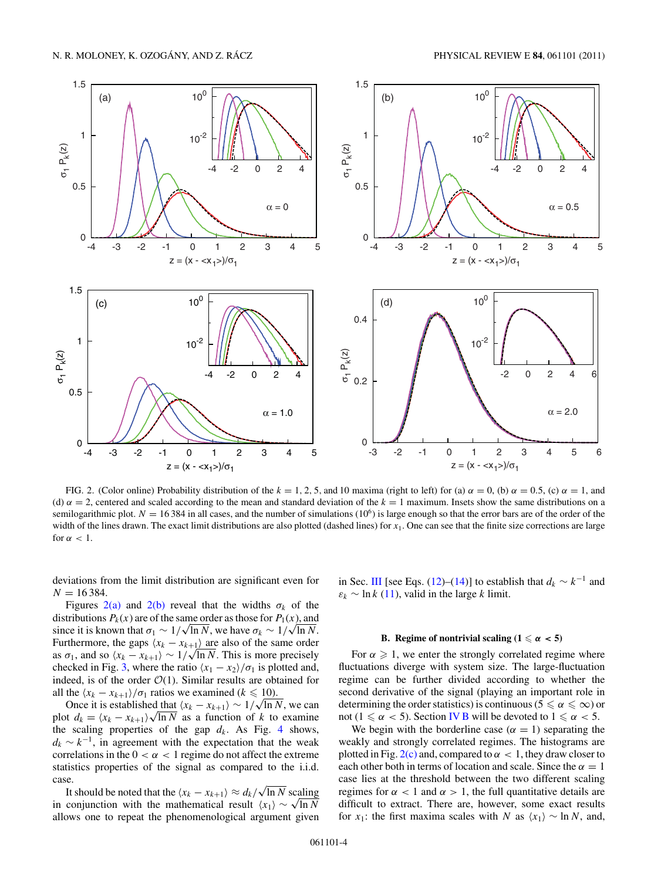<span id="page-3-0"></span>

FIG. 2. (Color online) Probability distribution of the  $k = 1, 2, 5$ , and 10 maxima (right to left) for (a)  $\alpha = 0$ , (b)  $\alpha = 0.5$ , (c)  $\alpha = 1$ , and (d)  $\alpha = 2$ , centered and scaled according to the mean and standard deviation of the  $k = 1$  maximum. Insets show the same distributions on a semilogarithmic plot.  $N = 16384$  in all cases, and the number of simulations  $(10<sup>6</sup>)$  is large enough so that the error bars are of the order of the width of the lines drawn. The exact limit distributions are also plotted (dashed lines) for  $x_1$ . One can see that the finite size corrections are large for  $\alpha < 1$ .

deviations from the limit distribution are significant even for  $N = 16384$ .

Figures 2(a) and 2(b) reveal that the widths  $\sigma_k$  of the distributions  $P_k(x)$  are of the same order as those for  $P_1(x)$ , and distributions  $P_k(x)$  are of the same order as those for  $P_1(x)$ , and since it is known that  $\sigma_1 \sim 1/\sqrt{\ln N}$ , we have  $\sigma_k \sim 1/\sqrt{\ln N}$ . Furthermore, the gaps  $\langle x_k - x_{k+1} \rangle$  are also of the same order Furthermore, the gaps  $(x_k - x_{k+1})$  are also of the same order<br>as  $\sigma_1$ , and so  $\langle x_k - x_{k+1} \rangle \sim 1/\sqrt{\ln N}$ . This is more precisely checked in Fig. [3,](#page-4-0) where the ratio  $\langle x_1 - x_2 \rangle / \sigma_1$  is plotted and, indeed, is of the order  $\mathcal{O}(1)$ . Similar results are obtained for all the  $\langle x_k - x_{k+1} \rangle / \sigma_1$  ratios we examined ( $k \leq 10$ ).

the  $(x_k - x_{k+1})/\sigma_1$  ratios we examined  $(k \le 10)$ .<br>Once it is established that  $(x_k - x_{k+1}) \sim 1/\sqrt{\ln N}$ , we can Once it is established that  $(x_k - x_{k+1}) \sim 1/\sqrt{\ln N}$ , we can plot  $d_k = \langle x_k - x_{k+1} \rangle \sqrt{\ln N}$  as a function of *k* to examine the scaling properties of the gap  $d_k$ . As Fig. [4](#page-4-0) shows,  $d_k \sim k^{-1}$ , in agreement with the expectation that the weak correlations in the  $0 < \alpha < 1$  regime do not affect the extreme statistics properties of the signal as compared to the i.i.d. case.

e.<br>It should be noted that the  $\langle x_k - x_{k+1} \rangle ≈ d_k/\sqrt{\ln N}$  scaling It should be noted that the  $(x_k - x_{k+1}) \approx d_k / \sqrt{\ln N}$  scaling<br>in conjunction with the mathematical result  $\langle x_1 \rangle \sim \sqrt{\ln N}$ allows one to repeat the phenomenological argument given in Sec. [III](#page-2-0) [see Eqs. [\(12\)](#page-2-0)–[\(14\)](#page-2-0)] to establish that  $d_k \sim k^{-1}$  and  $\varepsilon_k$  ~ ln *k* [\(11\)](#page-2-0), valid in the large *k* limit.

### **B.** Regime of nontrivial scaling  $(1 \le \alpha < 5)$

For  $\alpha \geq 1$ , we enter the strongly correlated regime where fluctuations diverge with system size. The large-fluctuation regime can be further divided according to whether the second derivative of the signal (playing an important role in determining the order statistics) is continuous ( $5 \le \alpha \le \infty$ ) or not ( $1 \le \alpha < 5$ ). Section IV B will be devoted to  $1 \le \alpha < 5$ .

We begin with the borderline case  $(\alpha = 1)$  separating the weakly and strongly correlated regimes. The histograms are plotted in Fig.  $2(c)$  and, compared to  $\alpha < 1$ , they draw closer to each other both in terms of location and scale. Since the  $\alpha = 1$ case lies at the threshold between the two different scaling regimes for *α <* 1 and *α >* 1, the full quantitative details are difficult to extract. There are, however, some exact results for *x*<sub>1</sub>: the first maxima scales with *N* as  $\langle x_1 \rangle \sim \ln N$ , and,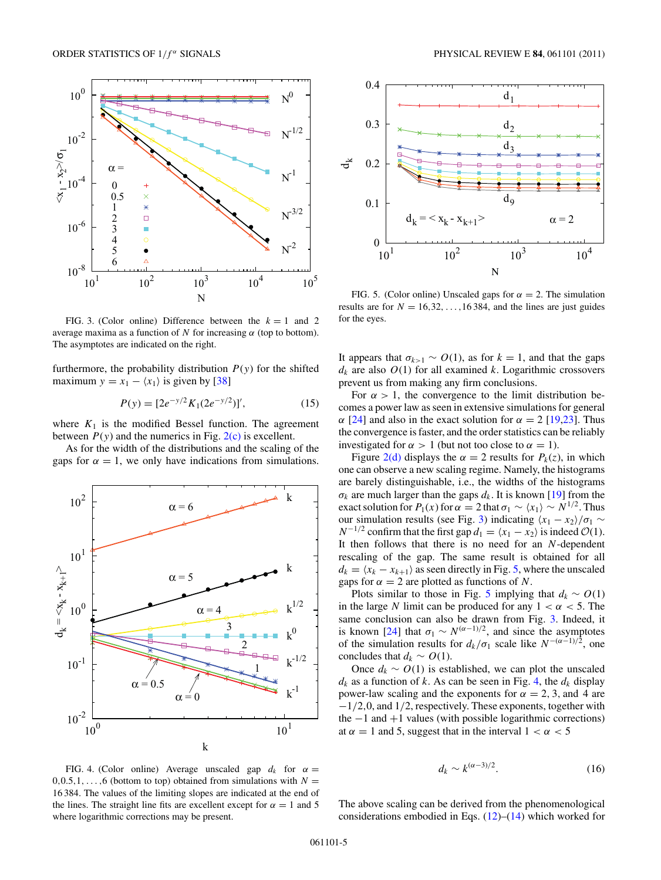<span id="page-4-0"></span>

FIG. 3. (Color online) Difference between the  $k = 1$  and 2 average maxima as a function of  $N$  for increasing  $\alpha$  (top to bottom). The asymptotes are indicated on the right.

furthermore, the probability distribution  $P(y)$  for the shifted maximum  $y = x_1 - \langle x_1 \rangle$  is given by [\[38\]](#page-7-0)

$$
P(y) = [2e^{-y/2}K_1(2e^{-y/2})]',\tag{15}
$$

where  $K_1$  is the modified Bessel function. The agreement between  $P(y)$  and the numerics in Fig.  $2(c)$  is excellent.

As for the width of the distributions and the scaling of the gaps for  $\alpha = 1$ , we only have indications from simulations.





FIG. 5. (Color online) Unscaled gaps for  $\alpha = 2$ . The simulation results are for  $N = 16, 32, \ldots, 16384$ , and the lines are just guides for the eyes.

It appears that  $\sigma_{k>1} \sim O(1)$ , as for  $k = 1$ , and that the gaps  $d_k$  are also  $O(1)$  for all examined *k*. Logarithmic crossovers prevent us from making any firm conclusions.

For  $\alpha > 1$ , the convergence to the limit distribution becomes a power law as seen in extensive simulations for general *α* [\[24\]](#page-7-0) and also in the exact solution for  $α = 2$  [\[19,23\]](#page-7-0). Thus the convergence is faster, and the order statistics can be reliably investigated for  $\alpha > 1$  (but not too close to  $\alpha = 1$ ).

Figure [2\(d\)](#page-3-0) displays the  $\alpha = 2$  results for  $P_k(z)$ , in which one can observe a new scaling regime. Namely, the histograms are barely distinguishable, i.e., the widths of the histograms  $\sigma_k$  are much larger than the gaps  $d_k$ . It is known [\[19\]](#page-7-0) from the exact solution for  $P_1(x)$  for  $\alpha = 2$  that  $\sigma_1 \sim \langle x_1 \rangle \sim N^{1/2}$ . Thus our simulation results (see Fig. 3) indicating  $\langle x_1 - x_2 \rangle / \sigma_1$  ~  $N^{-1/2}$  confirm that the first gap  $d_1 = \langle x_1 - x_2 \rangle$  is indeed  $\mathcal{O}(1)$ . It then follows that there is no need for an *N*-dependent rescaling of the gap. The same result is obtained for all  $d_k = \langle x_k - x_{k+1} \rangle$  as seen directly in Fig. 5, where the unscaled gaps for  $\alpha = 2$  are plotted as functions of *N*.

Plots similar to those in Fig. 5 implying that  $d_k \sim O(1)$ in the large *N* limit can be produced for any  $1 < \alpha < 5$ . The same conclusion can also be drawn from Fig. 3. Indeed, it is known [\[24\]](#page-7-0) that  $\sigma_1 \sim N^{(\alpha-1)/2}$ , and since the asymptotes of the simulation results for  $d_k/\sigma_1$  scale like  $N^{-(\alpha-1)/2}$ , one concludes that  $d_k \sim O(1)$ .

Once  $d_k \sim O(1)$  is established, we can plot the unscaled  $d_k$  as a function of *k*. As can be seen in Fig. 4, the  $d_k$  display power-law scaling and the exponents for  $\alpha = 2, 3$ , and 4 are −1*/*2*,*0, and 1*/*2, respectively. These exponents, together with the  $-1$  and  $+1$  values (with possible logarithmic corrections) at  $\alpha = 1$  and 5, suggest that in the interval  $1 < \alpha < 5$ 

$$
d_k \sim k^{(\alpha - 3)/2}.\tag{16}
$$

FIG. 4. (Color online) Average unscaled gap  $d_k$  for  $\alpha =$  $0,0.5,1,\ldots,6$  (bottom to top) obtained from simulations with  $N=$ 16 384. The values of the limiting slopes are indicated at the end of the lines. The straight line fits are excellent except for  $\alpha = 1$  and 5 where logarithmic corrections may be present.

The above scaling can be derived from the phenomenological considerations embodied in Eqs.  $(12)$ – $(14)$  which worked for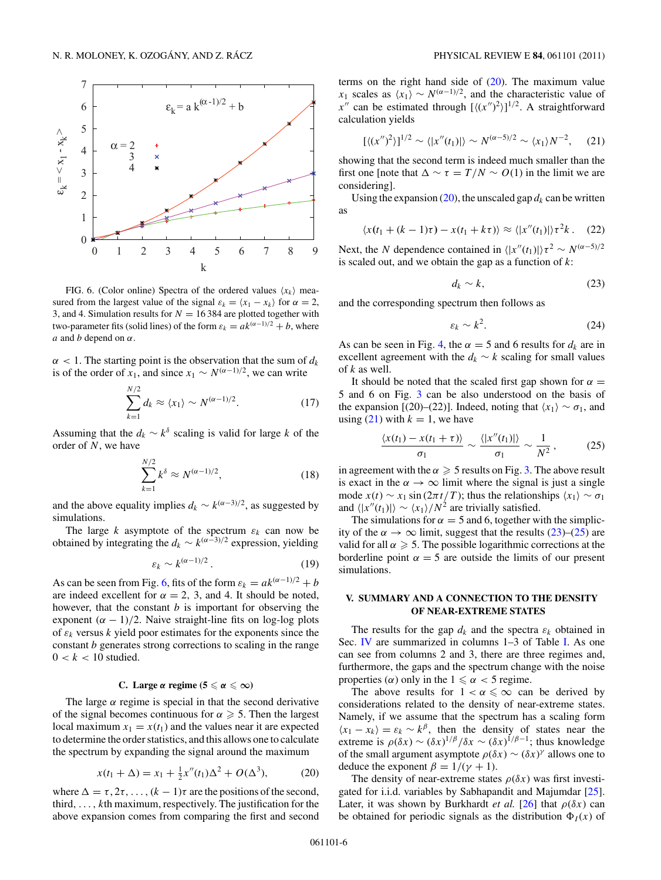<span id="page-5-0"></span>

FIG. 6. (Color online) Spectra of the ordered values  $\langle x_k \rangle$  measured from the largest value of the signal  $\varepsilon_k = \langle x_1 - x_k \rangle$  for  $\alpha = 2$ , 3, and 4. Simulation results for  $N = 16384$  are plotted together with two-parameter fits (solid lines) of the form  $\varepsilon_k = ak^{(\alpha-1)/2} + b$ , where *a* and *b* depend on *α*.

 $\alpha$  < 1. The starting point is the observation that the sum of  $d_k$ is of the order of *x*<sub>1</sub>, and since *x*<sub>1</sub> ∼  $N^{(\alpha-1)/2}$ , we can write

$$
\sum_{k=1}^{N/2} d_k \approx \langle x_1 \rangle \sim N^{(\alpha - 1)/2}.
$$
 (17)

Assuming that the  $d_k \sim k^{\delta}$  scaling is valid for large *k* of the order of *N*, we have

$$
\sum_{k=1}^{N/2} k^{\delta} \approx N^{(\alpha - 1)/2},\tag{18}
$$

and the above equality implies  $d_k \sim k^{(\alpha-3)/2}$ , as suggested by simulations.

The large  $k$  asymptote of the spectrum  $\varepsilon_k$  can now be obtained by integrating the  $d_k \sim k^{(\alpha-3)/2}$  expression, yielding

$$
\varepsilon_k \sim k^{(\alpha - 1)/2} \,. \tag{19}
$$

As can be seen from Fig. 6, fits of the form  $\varepsilon_k = ak^{(\alpha-1)/2} + b$ are indeed excellent for  $\alpha = 2$ , 3, and 4. It should be noted, however, that the constant *b* is important for observing the exponent  $(\alpha - 1)/2$ . Naive straight-line fits on log-log plots of  $\varepsilon_k$  versus  $k$  yield poor estimates for the exponents since the constant *b* generates strong corrections to scaling in the range  $0 < k < 10$  studied.

## **C.** Large  $\alpha$  regime ( $5 \leq \alpha \leq \infty$ )

The large  $\alpha$  regime is special in that the second derivative of the signal becomes continuous for  $\alpha \geq 5$ . Then the largest local maximum  $x_1 = x(t_1)$  and the values near it are expected to determine the order statistics, and this allows one to calculate the spectrum by expanding the signal around the maximum

$$
x(t_1 + \Delta) = x_1 + \frac{1}{2}x''(t_1)\Delta^2 + O(\Delta^3),
$$
 (20)

where  $\Delta = \tau, 2\tau, \ldots, (k-1)\tau$  are the positions of the second, third*,...,k*th maximum, respectively. The justification for the above expansion comes from comparing the first and second

terms on the right hand side of  $(20)$ . The maximum value *x*<sub>1</sub> scales as  $\langle x_1 \rangle \sim N^{(\alpha-1)/2}$ , and the characteristic value of  $x''$  can be estimated through  $[\langle (x'')^2 \rangle]^{1/2}$ . A straightforward calculation yields

$$
[\langle (x'')^2 \rangle]^{1/2} \sim \langle |x''(t_1)| \rangle \sim N^{(\alpha - 5)/2} \sim \langle x_1 \rangle N^{-2}, \quad (21)
$$

showing that the second term is indeed much smaller than the first one [note that  $\Delta \sim \tau = T/N \sim O(1)$  in the limit we are considering].

Using the expansion  $(20)$ , the unscaled gap  $d_k$  can be written as

$$
\langle x(t_1 + (k-1)\tau) - x(t_1 + k\tau) \rangle \approx \langle |x''(t_1)| \rangle \tau^2 k. \quad (22)
$$

Next, the *N* dependence contained in  $\langle |x''(t_1)| \rangle \tau^2 \sim N^{(\alpha-5)/2}$ is scaled out, and we obtain the gap as a function of *k*:

$$
d_k \sim k,\tag{23}
$$

and the corresponding spectrum then follows as

$$
\varepsilon_k \sim k^2. \tag{24}
$$

As can be seen in Fig. [4,](#page-4-0) the  $\alpha = 5$  and 6 results for  $d_k$  are in excellent agreement with the  $d_k \sim k$  scaling for small values of *k* as well.

It should be noted that the scaled first gap shown for  $\alpha =$ 5 and 6 on Fig. [3](#page-4-0) can be also understood on the basis of the expansion [(20)–(22)]. Indeed, noting that  $\langle x_1 \rangle \sim \sigma_1$ , and using  $(21)$  with  $k = 1$ , we have

$$
\frac{\langle x(t_1) - x(t_1 + \tau) \rangle}{\sigma_1} \sim \frac{\langle |x''(t_1)| \rangle}{\sigma_1} \sim \frac{1}{N^2},\qquad(25)
$$

in agreement with the  $\alpha \geq 5$  results on Fig. [3.](#page-4-0) The above result is exact in the  $\alpha \to \infty$  limit where the signal is just a single mode  $x(t) \sim x_1 \sin(2\pi t/T)$ ; thus the relationships  $\langle x_1 \rangle \sim \sigma_1$ and  $\langle |x''(t_1)| \rangle \sim \langle x_1 \rangle / N^2$  are trivially satisfied.

The simulations for  $\alpha = 5$  and 6, together with the simplicity of the  $\alpha \to \infty$  limit, suggest that the results (23)–(25) are valid for all  $\alpha \geq 5$ . The possible logarithmic corrections at the borderline point  $\alpha = 5$  are outside the limits of our present simulations.

## **V. SUMMARY AND A CONNECTION TO THE DENSITY OF NEAR-EXTREME STATES**

The results for the gap  $d_k$  and the spectra  $\varepsilon_k$  obtained in Sec. [IV](#page-2-0) are summarized in columns 1–3 of Table [I.](#page-6-0) As one can see from columns 2 and 3, there are three regimes and, furthermore, the gaps and the spectrum change with the noise properties  $(\alpha)$  only in the  $1 \leq \alpha < 5$  regime.

The above results for  $1 < \alpha \leq \infty$  can be derived by considerations related to the density of near-extreme states. Namely, if we assume that the spectrum has a scaling form  $\langle x_1 - x_k \rangle = \varepsilon_k \sim k^{\beta}$ , then the density of states near the extreme is  $\rho(\delta x) \sim (\delta x)^{1/\beta} / \delta x \sim (\delta x)^{1/\beta - 1}$ ; thus knowledge of the small argument asymptote  $\rho(\delta x) \sim (\delta x)^{\gamma}$  allows one to deduce the exponent  $\beta = 1/(\gamma + 1)$ .

The density of near-extreme states  $\rho(\delta x)$  was first investigated for i.i.d. variables by Sabhapandit and Majumdar [\[25\]](#page-7-0). Later, it was shown by Burkhardt *et al.* [\[26\]](#page-7-0) that  $\rho(\delta x)$  can be obtained for periodic signals as the distribution  $\Phi_I(x)$  of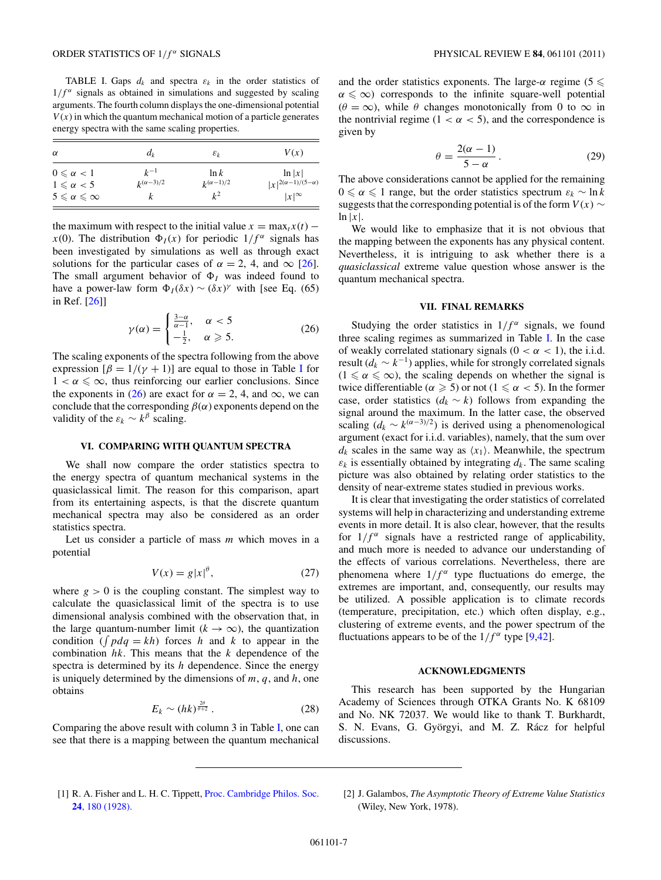<span id="page-6-0"></span>TABLE I. Gaps  $d_k$  and spectra  $\varepsilon_k$  in the order statistics of  $1/f^{\alpha}$  signals as obtained in simulations and suggested by scaling arguments. The fourth column displays the one-dimensional potential  $V(x)$  in which the quantum mechanical motion of a particle generates energy spectra with the same scaling properties.

| $\alpha$                              | $d_k$              | $\varepsilon_k$    | V(x)                           |
|---------------------------------------|--------------------|--------------------|--------------------------------|
| $0 \leq \alpha < 1$                   | $k^{-1}$           | $\ln k$            | $\ln  x $                      |
| $1 \leqslant \alpha < 5$              | $k^{(\alpha-3)/2}$ | $k^{(\alpha-1)/2}$ | $ x ^{2(\alpha-1)/(5-\alpha)}$ |
| $5 \leqslant \alpha \leqslant \infty$ | ĸ                  | $k^2$              | $ x ^\infty$                   |

the maximum with respect to the initial value  $x = \max_t x(t)$  – *x*(0). The distribution  $\Phi_I(x)$  for periodic  $1/f^\alpha$  signals has been investigated by simulations as well as through exact solutions for the particular cases of  $\alpha = 2$ , 4, and  $\infty$  [\[26\]](#page-7-0). The small argument behavior of  $\Phi_I$  was indeed found to have a power-law form  $\Phi_I(\delta x) \sim (\delta x)^\gamma$  with [see Eq. (65) in Ref. [\[26\]](#page-7-0)]

$$
\gamma(\alpha) = \begin{cases} \frac{3-\alpha}{\alpha-1}, & \alpha < 5\\ -\frac{1}{2}, & \alpha \geqslant 5. \end{cases}
$$
 (26)

The scaling exponents of the spectra following from the above expression  $\left[\beta = 1/(\gamma + 1)\right]$  are equal to those in Table I for  $1 < \alpha \leq \infty$ , thus reinforcing our earlier conclusions. Since the exponents in (26) are exact for  $\alpha = 2, 4$ , and  $\infty$ , we can conclude that the corresponding  $\beta(\alpha)$  exponents depend on the validity of the  $\varepsilon_k \sim k^{\beta}$  scaling.

## **VI. COMPARING WITH QUANTUM SPECTRA**

We shall now compare the order statistics spectra to the energy spectra of quantum mechanical systems in the quasiclassical limit. The reason for this comparison, apart from its entertaining aspects, is that the discrete quantum mechanical spectra may also be considered as an order statistics spectra.

Let us consider a particle of mass *m* which moves in a potential

$$
V(x) = g|x|^{\theta},\tag{27}
$$

where  $g > 0$  is the coupling constant. The simplest way to calculate the quasiclassical limit of the spectra is to use dimensional analysis combined with the observation that, in the large quantum-number limit  $(k \to \infty)$ , the quantization condition ( $\int pdq = kh$ ) forces *h* and *k* to appear in the combination *hk*. This means that the *k* dependence of the spectra is determined by its *h* dependence. Since the energy is uniquely determined by the dimensions of *m*, *q*, and *h*, one obtains

$$
E_k \sim (hk)^{\frac{2\theta}{\theta+2}}\,. \tag{28}
$$

Comparing the above result with column 3 in Table I, one can see that there is a mapping between the quantum mechanical

and the order statistics exponents. The large- $\alpha$  regime (5  $\leq$  $\alpha \leq \infty$ ) corresponds to the infinite square-well potential  $(\theta = \infty)$ , while  $\theta$  changes monotonically from 0 to  $\infty$  in the nontrivial regime  $(1 < \alpha < 5)$ , and the correspondence is given by

$$
\theta = \frac{2(\alpha - 1)}{5 - \alpha}.
$$
 (29)

The above considerations cannot be applied for the remaining  $0 \le \alpha \le 1$  range, but the order statistics spectrum  $\varepsilon_k \sim \ln k$ suggests that the corresponding potential is of the form  $V(x)$  ∼  $\ln |x|$ .

We would like to emphasize that it is not obvious that the mapping between the exponents has any physical content. Nevertheless, it is intriguing to ask whether there is a *quasiclassical* extreme value question whose answer is the quantum mechanical spectra.

## **VII. FINAL REMARKS**

Studying the order statistics in  $1/f^{\alpha}$  signals, we found three scaling regimes as summarized in Table I. In the case of weakly correlated stationary signals  $(0 < \alpha < 1)$ , the i.i.d. result ( $d_k \sim k^{-1}$ ) applies, while for strongly correlated signals  $(1 \le \alpha \le \infty)$ , the scaling depends on whether the signal is twice differentiable ( $\alpha \geqslant 5$ ) or not ( $1 \leqslant \alpha < 5$ ). In the former case, order statistics  $(d_k \sim k)$  follows from expanding the signal around the maximum. In the latter case, the observed scaling  $(d_k \sim k^{(\alpha-3)/2})$  is derived using a phenomenological argument (exact for i.i.d. variables), namely, that the sum over  $d_k$  scales in the same way as  $\langle x_1 \rangle$ . Meanwhile, the spectrum  $\varepsilon_k$  is essentially obtained by integrating  $d_k$ . The same scaling picture was also obtained by relating order statistics to the density of near-extreme states studied in previous works.

It is clear that investigating the order statistics of correlated systems will help in characterizing and understanding extreme events in more detail. It is also clear, however, that the results for  $1/f^{\alpha}$  signals have a restricted range of applicability, and much more is needed to advance our understanding of the effects of various correlations. Nevertheless, there are phenomena where  $1/f^{\alpha}$  type fluctuations do emerge, the extremes are important, and, consequently, our results may be utilized. A possible application is to climate records (temperature, precipitation, etc.) which often display, e.g., clustering of extreme events, and the power spectrum of the fluctuations appears to be of the  $1/f^{\alpha}$  type [\[9,42\]](#page-7-0).

#### **ACKNOWLEDGMENTS**

This research has been supported by the Hungarian Academy of Sciences through OTKA Grants No. K 68109 and No. NK 72037. We would like to thank T. Burkhardt, S. N. Evans, G. Györgyi, and M. Z. Rácz for helpful discussions.

- [1] R. A. Fisher and L. H. C. Tippett, [Proc. Cambridge Philos. Soc.](http://dx.doi.org/10.1017/S0305004100015681) **24**[, 180 \(1928\).](http://dx.doi.org/10.1017/S0305004100015681)
- [2] J. Galambos, *The Asymptotic Theory of Extreme Value Statistics* (Wiley, New York, 1978).